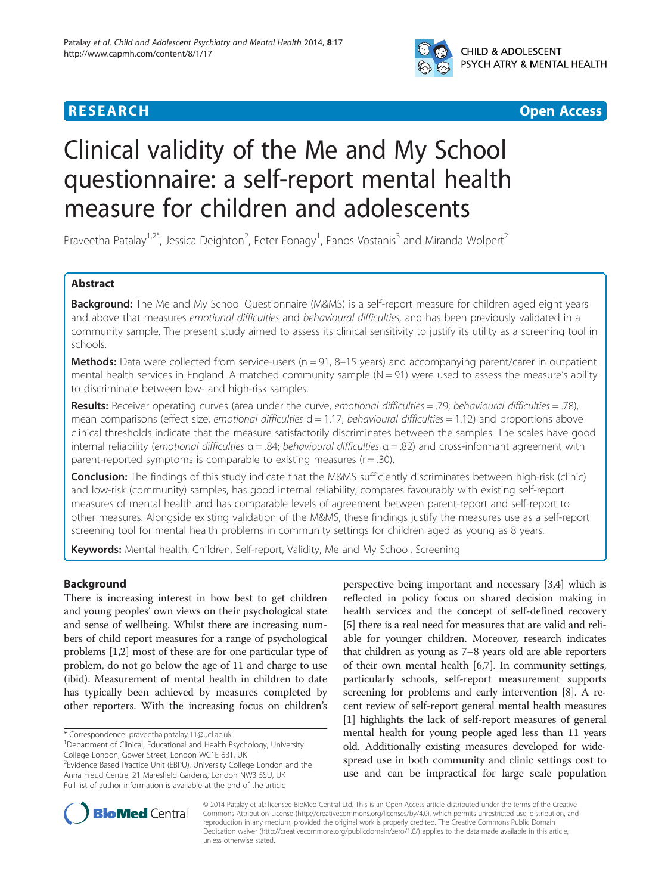

**RESEARCH CHEAR CHEAR CHEAR CHEAR CHEAR CHEAR CHEAR CHEAR CHEAR CHEAR CHEAR CHEAR CHEAR CHEAR CHEAR CHEAR CHEAR** 

# Clinical validity of the Me and My School questionnaire: a self-report mental health measure for children and adolescents

Praveetha Patalay<sup>1,2\*</sup>, Jessica Deighton<sup>2</sup>, Peter Fonagy<sup>1</sup>, Panos Vostanis<sup>3</sup> and Miranda Wolpert<sup>2</sup>

# Abstract

Background: The Me and My School Questionnaire (M&MS) is a self-report measure for children aged eight years and above that measures emotional difficulties and behavioural difficulties, and has been previously validated in a community sample. The present study aimed to assess its clinical sensitivity to justify its utility as a screening tool in schools.

Methods: Data were collected from service-users  $(n = 91, 8-15$  years) and accompanying parent/carer in outpatient mental health services in England. A matched community sample  $(N = 91)$  were used to assess the measure's ability to discriminate between low- and high-risk samples.

Results: Receiver operating curves (area under the curve, emotional difficulties = .79; behavioural difficulties = .78), mean comparisons (effect size, emotional difficulties  $d = 1.17$ , behavioural difficulties = 1.12) and proportions above clinical thresholds indicate that the measure satisfactorily discriminates between the samples. The scales have good internal reliability (emotional difficulties  $\alpha = .84$ ; behavioural difficulties  $\alpha = .82$ ) and cross-informant agreement with parent-reported symptoms is comparable to existing measures ( $r = .30$ ).

Conclusion: The findings of this study indicate that the M&MS sufficiently discriminates between high-risk (clinic) and low-risk (community) samples, has good internal reliability, compares favourably with existing self-report measures of mental health and has comparable levels of agreement between parent-report and self-report to other measures. Alongside existing validation of the M&MS, these findings justify the measures use as a self-report screening tool for mental health problems in community settings for children aged as young as 8 years.

Keywords: Mental health, Children, Self-report, Validity, Me and My School, Screening

# Background

There is increasing interest in how best to get children and young peoples' own views on their psychological state and sense of wellbeing. Whilst there are increasing numbers of child report measures for a range of psychological problems [\[1,2\]](#page-5-0) most of these are for one particular type of problem, do not go below the age of 11 and charge to use (ibid). Measurement of mental health in children to date has typically been achieved by measures completed by other reporters. With the increasing focus on children's

College London, Gower Street, London WC1E 6BT, UK

<sup>2</sup> Evidence Based Practice Unit (EBPU), University College London and the Anna Freud Centre, 21 Maresfield Gardens, London NW3 5SU, UK Full list of author information is available at the end of the article

perspective being important and necessary [\[3,4\]](#page-5-0) which is reflected in policy focus on shared decision making in health services and the concept of self-defined recovery [[5\]](#page-5-0) there is a real need for measures that are valid and reliable for younger children. Moreover, research indicates that children as young as 7–8 years old are able reporters of their own mental health [\[6,7\]](#page-5-0). In community settings, particularly schools, self-report measurement supports screening for problems and early intervention [\[8\]](#page-5-0). A recent review of self-report general mental health measures [[1\]](#page-5-0) highlights the lack of self-report measures of general mental health for young people aged less than 11 years old. Additionally existing measures developed for widespread use in both community and clinic settings cost to use and can be impractical for large scale population



© 2014 Patalay et al.; licensee BioMed Central Ltd. This is an Open Access article distributed under the terms of the Creative Commons Attribution License [\(http://creativecommons.org/licenses/by/4.0\)](http://creativecommons.org/licenses/by/4.0), which permits unrestricted use, distribution, and reproduction in any medium, provided the original work is properly credited. The Creative Commons Public Domain Dedication waiver [\(http://creativecommons.org/publicdomain/zero/1.0/](http://creativecommons.org/publicdomain/zero/1.0/)) applies to the data made available in this article, unless otherwise stated.

<sup>\*</sup> Correspondence: [praveetha.patalay.11@ucl.ac.uk](mailto:praveetha.patalay.11@ucl.ac.uk) <sup>1</sup>

<sup>&</sup>lt;sup>1</sup> Department of Clinical, Educational and Health Psychology, University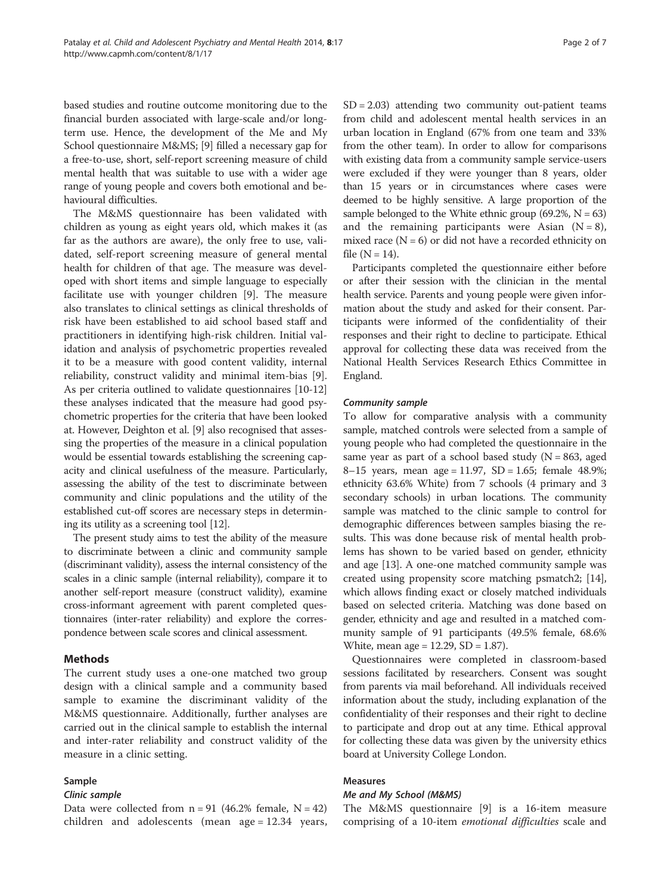based studies and routine outcome monitoring due to the financial burden associated with large-scale and/or longterm use. Hence, the development of the Me and My School questionnaire M&MS; [\[9](#page-5-0)] filled a necessary gap for a free-to-use, short, self-report screening measure of child mental health that was suitable to use with a wider age range of young people and covers both emotional and behavioural difficulties.

The M&MS questionnaire has been validated with children as young as eight years old, which makes it (as far as the authors are aware), the only free to use, validated, self-report screening measure of general mental health for children of that age. The measure was developed with short items and simple language to especially facilitate use with younger children [\[9](#page-5-0)]. The measure also translates to clinical settings as clinical thresholds of risk have been established to aid school based staff and practitioners in identifying high-risk children. Initial validation and analysis of psychometric properties revealed it to be a measure with good content validity, internal reliability, construct validity and minimal item-bias [\[9](#page-5-0)]. As per criteria outlined to validate questionnaires [[10](#page-5-0)-[12](#page-5-0)] these analyses indicated that the measure had good psychometric properties for the criteria that have been looked at. However, Deighton et al. [[9\]](#page-5-0) also recognised that assessing the properties of the measure in a clinical population would be essential towards establishing the screening capacity and clinical usefulness of the measure. Particularly, assessing the ability of the test to discriminate between community and clinic populations and the utility of the established cut-off scores are necessary steps in determining its utility as a screening tool [\[12\]](#page-5-0).

The present study aims to test the ability of the measure to discriminate between a clinic and community sample (discriminant validity), assess the internal consistency of the scales in a clinic sample (internal reliability), compare it to another self-report measure (construct validity), examine cross-informant agreement with parent completed questionnaires (inter-rater reliability) and explore the correspondence between scale scores and clinical assessment.

# Methods

The current study uses a one-one matched two group design with a clinical sample and a community based sample to examine the discriminant validity of the M&MS questionnaire. Additionally, further analyses are carried out in the clinical sample to establish the internal and inter-rater reliability and construct validity of the measure in a clinic setting.

# Sample

# Clinic sample

Data were collected from  $n = 91$  (46.2% female, N = 42) children and adolescents (mean age = 12.34 years,  $SD = 2.03$ ) attending two community out-patient teams from child and adolescent mental health services in an urban location in England (67% from one team and 33% from the other team). In order to allow for comparisons with existing data from a community sample service-users were excluded if they were younger than 8 years, older than 15 years or in circumstances where cases were deemed to be highly sensitive. A large proportion of the sample belonged to the White ethnic group (69.2%,  $N = 63$ ) and the remaining participants were Asian  $(N = 8)$ , mixed race  $(N = 6)$  or did not have a recorded ethnicity on file  $(N = 14)$ .

Participants completed the questionnaire either before or after their session with the clinician in the mental health service. Parents and young people were given information about the study and asked for their consent. Participants were informed of the confidentiality of their responses and their right to decline to participate. Ethical approval for collecting these data was received from the National Health Services Research Ethics Committee in England.

# Community sample

To allow for comparative analysis with a community sample, matched controls were selected from a sample of young people who had completed the questionnaire in the same year as part of a school based study ( $N = 863$ , aged 8–15 years, mean age = 11.97, SD = 1.65; female 48.9%; ethnicity 63.6% White) from 7 schools (4 primary and 3 secondary schools) in urban locations. The community sample was matched to the clinic sample to control for demographic differences between samples biasing the results. This was done because risk of mental health problems has shown to be varied based on gender, ethnicity and age [\[13\]](#page-5-0). A one-one matched community sample was created using propensity score matching psmatch2; [[14](#page-5-0)], which allows finding exact or closely matched individuals based on selected criteria. Matching was done based on gender, ethnicity and age and resulted in a matched community sample of 91 participants (49.5% female, 68.6% White, mean age = 12.29, SD = 1.87).

Questionnaires were completed in classroom-based sessions facilitated by researchers. Consent was sought from parents via mail beforehand. All individuals received information about the study, including explanation of the confidentiality of their responses and their right to decline to participate and drop out at any time. Ethical approval for collecting these data was given by the university ethics board at University College London.

#### Measures

#### Me and My School (M&MS)

The M&MS questionnaire [[9\]](#page-5-0) is a 16-item measure comprising of a 10-item emotional difficulties scale and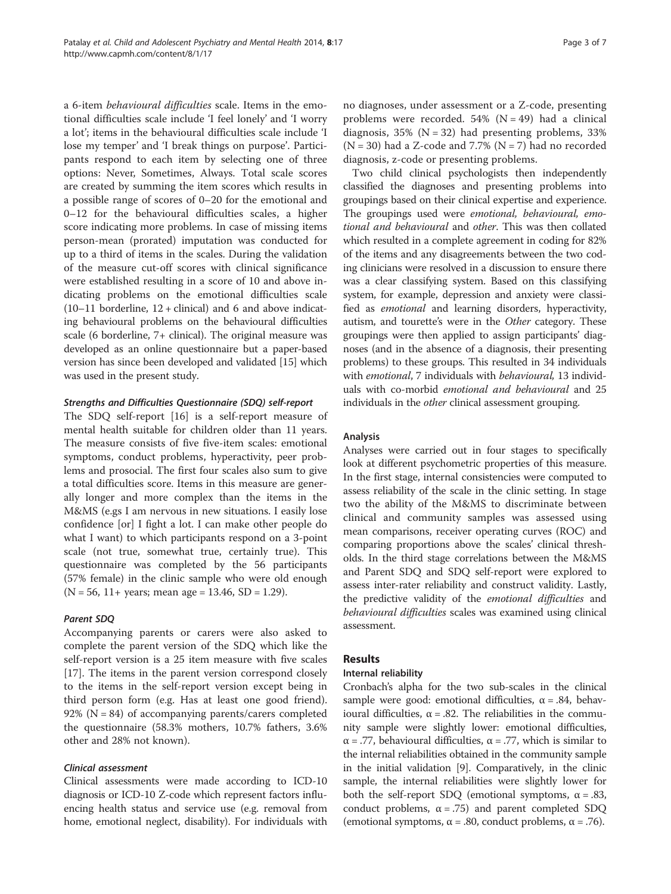a 6-item behavioural difficulties scale. Items in the emotional difficulties scale include 'I feel lonely' and 'I worry a lot'; items in the behavioural difficulties scale include 'I lose my temper' and 'I break things on purpose'. Participants respond to each item by selecting one of three options: Never, Sometimes, Always. Total scale scores are created by summing the item scores which results in a possible range of scores of 0–20 for the emotional and 0–12 for the behavioural difficulties scales, a higher score indicating more problems. In case of missing items person-mean (prorated) imputation was conducted for up to a third of items in the scales. During the validation of the measure cut-off scores with clinical significance were established resulting in a score of 10 and above indicating problems on the emotional difficulties scale  $(10-11)$  borderline,  $12 +$  clinical) and 6 and above indicating behavioural problems on the behavioural difficulties scale (6 borderline, 7+ clinical). The original measure was developed as an online questionnaire but a paper-based version has since been developed and validated [\[15\]](#page-5-0) which was used in the present study.

#### Strengths and Difficulties Questionnaire (SDQ) self-report

The SDQ self-report [[16\]](#page-5-0) is a self-report measure of mental health suitable for children older than 11 years. The measure consists of five five-item scales: emotional symptoms, conduct problems, hyperactivity, peer problems and prosocial. The first four scales also sum to give a total difficulties score. Items in this measure are generally longer and more complex than the items in the M&MS (e.gs I am nervous in new situations. I easily lose confidence [or] I fight a lot. I can make other people do what I want) to which participants respond on a 3-point scale (not true, somewhat true, certainly true). This questionnaire was completed by the 56 participants (57% female) in the clinic sample who were old enough  $(N = 56, 11 + \text{ years}; \text{ mean age} = 13.46, SD = 1.29).$ 

# Parent SDQ

Accompanying parents or carers were also asked to complete the parent version of the SDQ which like the self-report version is a 25 item measure with five scales [[17\]](#page-5-0). The items in the parent version correspond closely to the items in the self-report version except being in third person form (e.g. Has at least one good friend). 92% ( $N = 84$ ) of accompanying parents/carers completed the questionnaire (58.3% mothers, 10.7% fathers, 3.6% other and 28% not known).

#### Clinical assessment

Clinical assessments were made according to ICD-10 diagnosis or ICD-10 Z-code which represent factors influencing health status and service use (e.g. removal from home, emotional neglect, disability). For individuals with no diagnoses, under assessment or a Z-code, presenting problems were recorded.  $54\%$  (N = 49) had a clinical diagnosis,  $35\%$  (N = 32) had presenting problems,  $33\%$  $(N = 30)$  had a Z-code and 7.7%  $(N = 7)$  had no recorded diagnosis, z-code or presenting problems.

Two child clinical psychologists then independently classified the diagnoses and presenting problems into groupings based on their clinical expertise and experience. The groupings used were emotional, behavioural, emotional and behavioural and other. This was then collated which resulted in a complete agreement in coding for 82% of the items and any disagreements between the two coding clinicians were resolved in a discussion to ensure there was a clear classifying system. Based on this classifying system, for example, depression and anxiety were classified as emotional and learning disorders, hyperactivity, autism, and tourette's were in the Other category. These groupings were then applied to assign participants' diagnoses (and in the absence of a diagnosis, their presenting problems) to these groups. This resulted in 34 individuals with emotional, 7 individuals with behavioural, 13 individuals with co-morbid emotional and behavioural and 25 individuals in the *other* clinical assessment grouping.

# Analysis

Analyses were carried out in four stages to specifically look at different psychometric properties of this measure. In the first stage, internal consistencies were computed to assess reliability of the scale in the clinic setting. In stage two the ability of the M&MS to discriminate between clinical and community samples was assessed using mean comparisons, receiver operating curves (ROC) and comparing proportions above the scales' clinical thresholds. In the third stage correlations between the M&MS and Parent SDQ and SDQ self-report were explored to assess inter-rater reliability and construct validity. Lastly, the predictive validity of the emotional difficulties and behavioural difficulties scales was examined using clinical assessment.

# Results

#### Internal reliability

Cronbach's alpha for the two sub-scales in the clinical sample were good: emotional difficulties,  $\alpha$  = .84, behavioural difficulties, α = .82. The reliabilities in the community sample were slightly lower: emotional difficulties,  $\alpha$  = .77, behavioural difficulties,  $\alpha$  = .77, which is similar to the internal reliabilities obtained in the community sample in the initial validation [\[9](#page-5-0)]. Comparatively, in the clinic sample, the internal reliabilities were slightly lower for both the self-report SDQ (emotional symptoms,  $\alpha = .83$ , conduct problems,  $\alpha = .75$ ) and parent completed SDQ (emotional symptoms,  $\alpha$  = .80, conduct problems,  $\alpha$  = .76).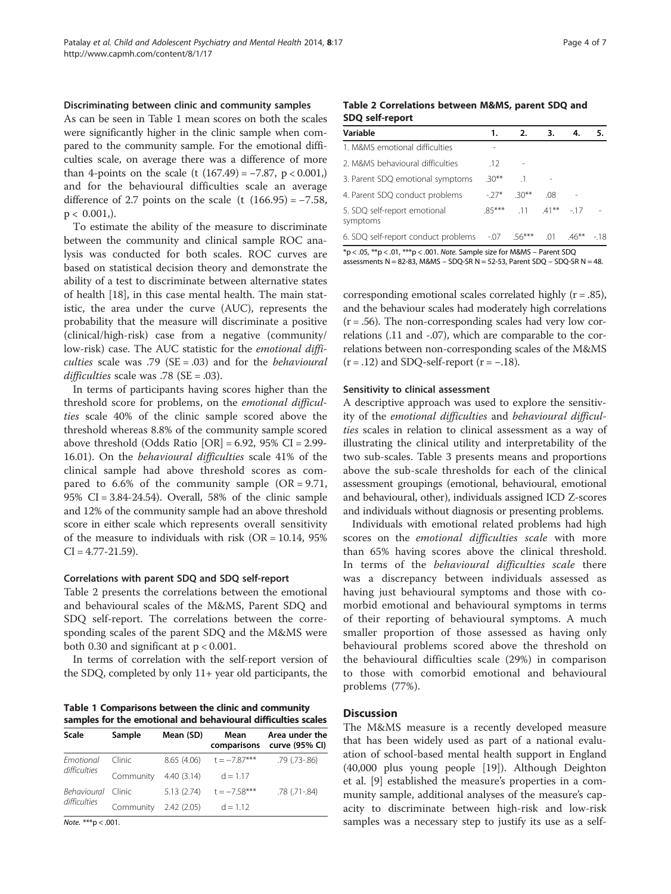#### Discriminating between clinic and community samples

As can be seen in Table 1 mean scores on both the scales were significantly higher in the clinic sample when compared to the community sample. For the emotional difficulties scale, on average there was a difference of more than 4-points on the scale (t  $(167.49) = -7.87$ , p < 0.001,) and for the behavioural difficulties scale an average difference of 2.7 points on the scale (t  $(166.95) = -7.58$ ,  $p < 0.001$ .).

To estimate the ability of the measure to discriminate between the community and clinical sample ROC analysis was conducted for both scales. ROC curves are based on statistical decision theory and demonstrate the ability of a test to discriminate between alternative states of health [[18](#page-5-0)], in this case mental health. The main statistic, the area under the curve (AUC), represents the probability that the measure will discriminate a positive (clinical/high-risk) case from a negative (community/ low-risk) case. The AUC statistic for the *emotional diffi*culties scale was .79 ( $SE = .03$ ) and for the *behavioural* difficulties scale was  $.78$  (SE = .03).

In terms of participants having scores higher than the threshold score for problems, on the emotional difficulties scale 40% of the clinic sample scored above the threshold whereas 8.8% of the community sample scored above threshold (Odds Ratio  $[OR] = 6.92$ , 95% CI = 2.99-16.01). On the behavioural difficulties scale 41% of the clinical sample had above threshold scores as compared to 6.6% of the community sample  $(OR = 9.71,$ 95% CI = 3.84-24.54). Overall, 58% of the clinic sample and 12% of the community sample had an above threshold score in either scale which represents overall sensitivity of the measure to individuals with risk (OR = 10.14, 95%  $CI = 4.77 - 21.59$ .

# Correlations with parent SDQ and SDQ self-report

Table 2 presents the correlations between the emotional and behavioural scales of the M&MS, Parent SDQ and SDQ self-report. The correlations between the corresponding scales of the parent SDQ and the M&MS were both 0.30 and significant at p < 0.001.

In terms of correlation with the self-report version of the SDQ, completed by only 11+ year old participants, the

Table 1 Comparisons between the clinic and community samples for the emotional and behavioural difficulties scales

| Scale                              | Sample    | Mean (SD)  | Mean<br>comparisons | Area under the<br>curve (95% CI) |
|------------------------------------|-----------|------------|---------------------|----------------------------------|
| Fmotional<br>difficulties          | Clinic    | 8.65(4.06) | $t = -7.87***$      | $.79$ $(.73 - .86)$              |
|                                    | Community | 4.40(3.14) | $d = 1.17$          |                                  |
| <b>Behavioural</b><br>difficulties | Clinic    | 5.13(2.74) | $t = -7.58***$      | $.78$ $(.71 - .84)$              |
|                                    | Community | 2.42(2.05) | $d = 1.12$          |                                  |

Note. \*\*\*p < .001.

Table 2 Correlations between M&MS, parent SDQ and SDQ self-report

| Variable                                        | 1.       | 2.      | 3.          | 4.       | 5.    |
|-------------------------------------------------|----------|---------|-------------|----------|-------|
| 1. M&MS emotional difficulties                  |          |         |             |          |       |
| 2. M&MS behavioural difficulties                | .12      |         |             |          |       |
| 3. Parent SDQ emotional symptoms                | $.30**$  |         |             |          |       |
| 4. Parent SDQ conduct problems                  | $-27*$   | $30**$  | .08         |          |       |
| 5. SDQ self-report emotional<br>symptoms        | $.85***$ | $.11 -$ | $41***$ -17 |          |       |
| 6. SDQ self-report conduct problems -.07 .56*** |          |         | .01         | $.46***$ | $-18$ |

 $*p < .05$ ,  $**p < .01$ ,  $***p < .001$ . Note. Sample size for M&MS – Parent SDQ

assessments  $N = 82-83$ , M&MS - SDQ-SR  $N = 52-53$ , Parent SDQ - SDQ-SR  $N = 48$ .

corresponding emotional scales correlated highly  $(r = .85)$ , and the behaviour scales had moderately high correlations  $(r = .56)$ . The non-corresponding scales had very low correlations (.11 and -.07), which are comparable to the correlations between non-corresponding scales of the M&MS  $(r = .12)$  and SDQ-self-report  $(r = -.18)$ .

#### Sensitivity to clinical assessment

A descriptive approach was used to explore the sensitivity of the emotional difficulties and behavioural difficulties scales in relation to clinical assessment as a way of illustrating the clinical utility and interpretability of the two sub-scales. Table [3](#page-4-0) presents means and proportions above the sub-scale thresholds for each of the clinical assessment groupings (emotional, behavioural, emotional and behavioural, other), individuals assigned ICD Z-scores and individuals without diagnosis or presenting problems.

Individuals with emotional related problems had high scores on the emotional difficulties scale with more than 65% having scores above the clinical threshold. In terms of the behavioural difficulties scale there was a discrepancy between individuals assessed as having just behavioural symptoms and those with comorbid emotional and behavioural symptoms in terms of their reporting of behavioural symptoms. A much smaller proportion of those assessed as having only behavioural problems scored above the threshold on the behavioural difficulties scale (29%) in comparison to those with comorbid emotional and behavioural problems (77%).

# **Discussion**

The M&MS measure is a recently developed measure that has been widely used as part of a national evaluation of school-based mental health support in England (40,000 plus young people [\[19](#page-5-0)]). Although Deighton et al. [\[9](#page-5-0)] established the measure's properties in a community sample, additional analyses of the measure's capacity to discriminate between high-risk and low-risk samples was a necessary step to justify its use as a self-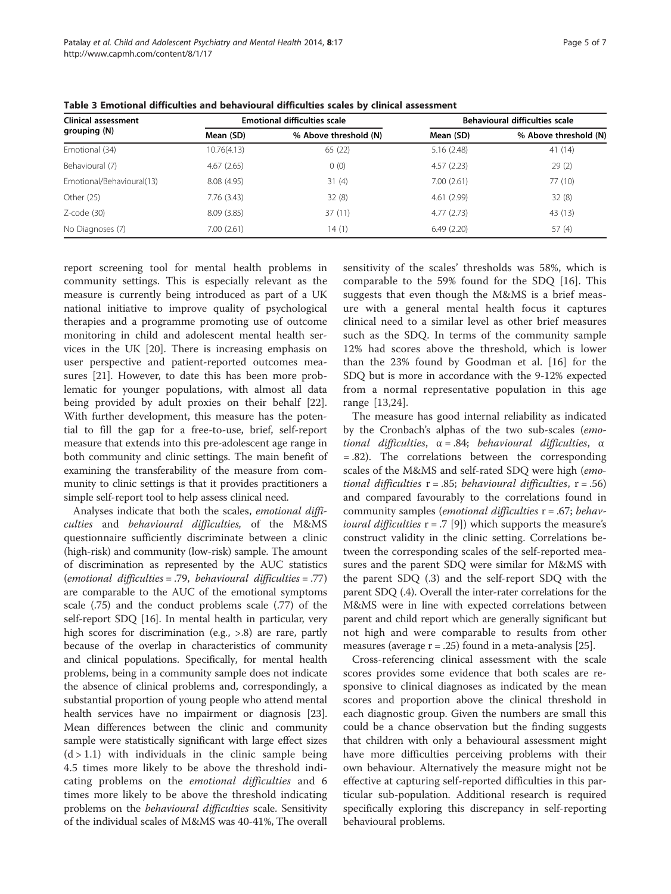| <b>Clinical assessment</b> |             | <b>Emotional difficulties scale</b> | Behavioural difficulties scale |                       |  |
|----------------------------|-------------|-------------------------------------|--------------------------------|-----------------------|--|
| grouping (N)               | Mean (SD)   | % Above threshold (N)               | Mean (SD)                      | % Above threshold (N) |  |
| Emotional (34)             | 10.76(4.13) | 65 (22)                             | 5.16(2.48)                     | 41 (14)               |  |
| Behavioural (7)            | 4.67(2.65)  | 0(0)                                | 4.57(2.23)                     | 29(2)                 |  |
| Emotional/Behavioural(13)  | 8.08 (4.95) | 31(4)                               | 7.00(2.61)                     | 77 (10)               |  |
| Other (25)                 | 7.76 (3.43) | 32(8)                               | 4.61(2.99)                     | 32(8)                 |  |
| $Z$ -code $(30)$           | 8.09(3.85)  | 37(11)                              | 4.77(2.73)                     | 43 (13)               |  |
| No Diagnoses (7)           | 7.00(2.61)  | 14(1)                               | 6.49(2.20)                     | 57(4)                 |  |

<span id="page-4-0"></span>Table 3 Emotional difficulties and behavioural difficulties scales by clinical assessment

report screening tool for mental health problems in community settings. This is especially relevant as the measure is currently being introduced as part of a UK national initiative to improve quality of psychological therapies and a programme promoting use of outcome monitoring in child and adolescent mental health services in the UK [\[20](#page-5-0)]. There is increasing emphasis on user perspective and patient-reported outcomes measures [\[21\]](#page-6-0). However, to date this has been more problematic for younger populations, with almost all data being provided by adult proxies on their behalf [\[22](#page-6-0)]. With further development, this measure has the potential to fill the gap for a free-to-use, brief, self-report measure that extends into this pre-adolescent age range in both community and clinic settings. The main benefit of examining the transferability of the measure from community to clinic settings is that it provides practitioners a simple self-report tool to help assess clinical need.

Analyses indicate that both the scales, emotional difficulties and behavioural difficulties, of the M&MS questionnaire sufficiently discriminate between a clinic (high-risk) and community (low-risk) sample. The amount of discrimination as represented by the AUC statistics (emotional difficulties = .79, behavioural difficulties = .77) are comparable to the AUC of the emotional symptoms scale (.75) and the conduct problems scale (.77) of the self-report SDQ [\[16\]](#page-5-0). In mental health in particular, very high scores for discrimination (e.g.,  $> 0.8$ ) are rare, partly because of the overlap in characteristics of community and clinical populations. Specifically, for mental health problems, being in a community sample does not indicate the absence of clinical problems and, correspondingly, a substantial proportion of young people who attend mental health services have no impairment or diagnosis [[23](#page-6-0)]. Mean differences between the clinic and community sample were statistically significant with large effect sizes  $(d > 1.1)$  with individuals in the clinic sample being 4.5 times more likely to be above the threshold indicating problems on the emotional difficulties and 6 times more likely to be above the threshold indicating problems on the *behavioural difficulties* scale. Sensitivity of the individual scales of M&MS was 40-41%, The overall sensitivity of the scales' thresholds was 58%, which is comparable to the 59% found for the SDQ [\[16](#page-5-0)]. This suggests that even though the M&MS is a brief measure with a general mental health focus it captures clinical need to a similar level as other brief measures such as the SDQ. In terms of the community sample 12% had scores above the threshold, which is lower than the 23% found by Goodman et al. [[16](#page-5-0)] for the SDQ but is more in accordance with the 9-12% expected from a normal representative population in this age range [[13](#page-5-0)[,24](#page-6-0)].

The measure has good internal reliability as indicated by the Cronbach's alphas of the two sub-scales (emotional difficulties,  $\alpha = .84$ ; behavioural difficulties,  $\alpha$ = .82). The correlations between the corresponding scales of the M&MS and self-rated SDQ were high (emotional difficulties  $r = .85$ ; behavioural difficulties,  $r = .56$ ) and compared favourably to the correlations found in community samples (emotional difficulties r = .67; behav*ioural difficulties*  $r = .7$  [\[9](#page-5-0)]) which supports the measure's construct validity in the clinic setting. Correlations between the corresponding scales of the self-reported measures and the parent SDQ were similar for M&MS with the parent SDQ (.3) and the self-report SDQ with the parent SDQ (.4). Overall the inter-rater correlations for the M&MS were in line with expected correlations between parent and child report which are generally significant but not high and were comparable to results from other measures (average  $r = .25$  $r = .25$ ) found in a meta-analysis [25].

Cross-referencing clinical assessment with the scale scores provides some evidence that both scales are responsive to clinical diagnoses as indicated by the mean scores and proportion above the clinical threshold in each diagnostic group. Given the numbers are small this could be a chance observation but the finding suggests that children with only a behavioural assessment might have more difficulties perceiving problems with their own behaviour. Alternatively the measure might not be effective at capturing self-reported difficulties in this particular sub-population. Additional research is required specifically exploring this discrepancy in self-reporting behavioural problems.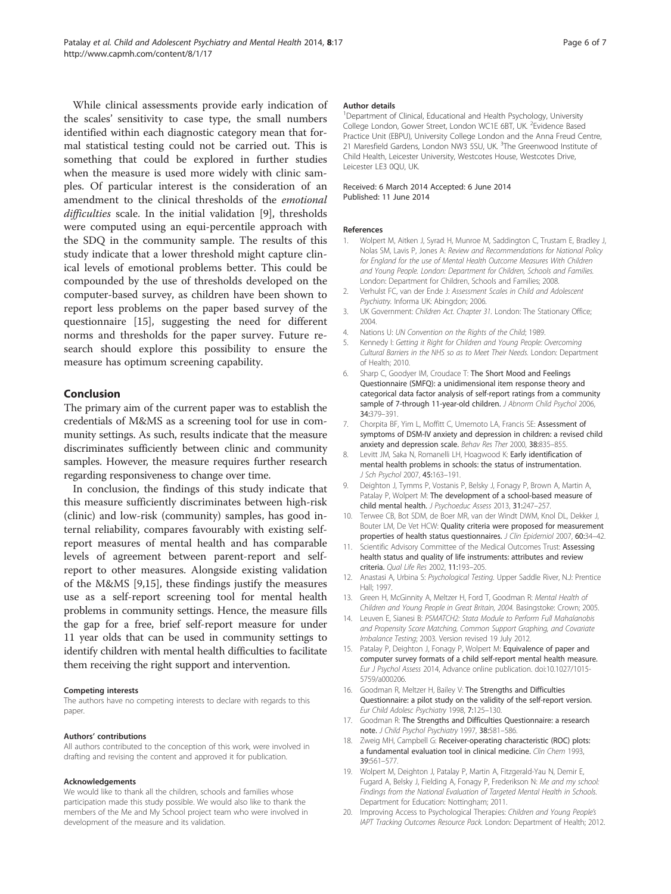<span id="page-5-0"></span>While clinical assessments provide early indication of the scales' sensitivity to case type, the small numbers identified within each diagnostic category mean that formal statistical testing could not be carried out. This is something that could be explored in further studies when the measure is used more widely with clinic samples. Of particular interest is the consideration of an amendment to the clinical thresholds of the emotional difficulties scale. In the initial validation [9], thresholds were computed using an equi-percentile approach with the SDQ in the community sample. The results of this study indicate that a lower threshold might capture clinical levels of emotional problems better. This could be compounded by the use of thresholds developed on the computer-based survey, as children have been shown to report less problems on the paper based survey of the questionnaire [15], suggesting the need for different norms and thresholds for the paper survey. Future research should explore this possibility to ensure the measure has optimum screening capability.

# Conclusion

The primary aim of the current paper was to establish the credentials of M&MS as a screening tool for use in community settings. As such, results indicate that the measure discriminates sufficiently between clinic and community samples. However, the measure requires further research regarding responsiveness to change over time.

In conclusion, the findings of this study indicate that this measure sufficiently discriminates between high-risk (clinic) and low-risk (community) samples, has good internal reliability, compares favourably with existing selfreport measures of mental health and has comparable levels of agreement between parent-report and selfreport to other measures. Alongside existing validation of the M&MS [9,15], these findings justify the measures use as a self-report screening tool for mental health problems in community settings. Hence, the measure fills the gap for a free, brief self-report measure for under 11 year olds that can be used in community settings to identify children with mental health difficulties to facilitate them receiving the right support and intervention.

#### Competing interests

The authors have no competing interests to declare with regards to this paper.

#### Authors' contributions

All authors contributed to the conception of this work, were involved in drafting and revising the content and approved it for publication.

#### Acknowledgements

We would like to thank all the children, schools and families whose participation made this study possible. We would also like to thank the members of the Me and My School project team who were involved in development of the measure and its validation.

#### Author details

<sup>1</sup>Department of Clinical, Educational and Health Psychology, University College London, Gower Street, London WC1E 6BT, UK. <sup>2</sup>Evidence Based Practice Unit (EBPU), University College London and the Anna Freud Centre, 21 Maresfield Gardens, London NW3 5SU, UK. <sup>3</sup>The Greenwood Institute of Child Health, Leicester University, Westcotes House, Westcotes Drive, Leicester LE3 0QU, UK.

#### Received: 6 March 2014 Accepted: 6 June 2014 Published: 11 June 2014

# References

- 1. Wolpert M, Aitken J, Syrad H, Munroe M, Saddington C, Trustam E, Bradley J, Nolas SM, Lavis P, Jones A: Review and Recommendations for National Policy for England for the use of Mental Health Outcome Measures With Children and Young People. London: Department for Children, Schools and Families. London: Department for Children, Schools and Families; 2008.
- 2. Verhulst FC, van der Ende J: Assessment Scales in Child and Adolescent Psychiatry. Informa UK: Abingdon; 2006.
- 3. UK Government: Children Act. Chapter 31. London: The Stationary Office; 2004.
- 4. Nations U: UN Convention on the Rights of the Child; 1989.
- 5. Kennedy I: Getting it Right for Children and Young People: Overcoming Cultural Barriers in the NHS so as to Meet Their Needs. London: Department of Health; 2010.
- 6. Sharp C, Goodyer IM, Croudace T: The Short Mood and Feelings Questionnaire (SMFQ): a unidimensional item response theory and categorical data factor analysis of self-report ratings from a community sample of 7-through 11-year-old children. J Abnorm Child Psychol 2006, 34:379–391.
- 7. Chorpita BF, Yim L, Moffitt C, Umemoto LA, Francis SE: Assessment of symptoms of DSM-IV anxiety and depression in children: a revised child anxiety and depression scale. Behav Res Ther 2000, 38:835–855.
- 8. Levitt JM, Saka N, Romanelli LH, Hoagwood K: Early identification of mental health problems in schools: the status of instrumentation. J Sch Psychol 2007, 45:163–191.
- 9. Deighton J, Tymms P, Vostanis P, Belsky J, Fonagy P, Brown A, Martin A, Patalay P, Wolpert M: The development of a school-based measure of child mental health. J Psychoeduc Assess 2013, 31:247–257.
- 10. Terwee CB, Bot SDM, de Boer MR, van der Windt DWM, Knol DL, Dekker J, Bouter LM, De Vet HCW: Quality criteria were proposed for measurement properties of health status questionnaires. J Clin Epidemiol 2007, 60:34-42.
- 11. Scientific Advisory Committee of the Medical Outcomes Trust: Assessing health status and quality of life instruments: attributes and review criteria. Qual Life Res 2002, 11:193–205.
- 12. Anastasi A, Urbina S: Psychological Testing. Upper Saddle River, N.J: Prentice Hall; 1997.
- 13. Green H, McGinnity A, Meltzer H, Ford T, Goodman R: Mental Health of Children and Young People in Great Britain, 2004. Basingstoke: Crown; 2005.
- 14. Leuven E, Sianesi B: PSMATCH2: Stata Module to Perform Full Mahalanobis and Propensity Score Matching, Common Support Graphing, and Covariate Imbalance Testing; 2003. Version revised 19 July 2012.
- 15. Patalay P, Deighton J, Fonagy P, Wolpert M: Equivalence of paper and computer survey formats of a child self-report mental health measure. Eur J Psychol Assess 2014, Advance online publication. doi:10.1027/1015- 5759/a000206.
- 16. Goodman R, Meltzer H, Bailey V: The Strengths and Difficulties Questionnaire: a pilot study on the validity of the self-report version. Eur Child Adolesc Psychiatry 1998, 7:125–130.
- 17. Goodman R: The Strengths and Difficulties Questionnaire: a research note. J Child Psychol Psychiatry 1997, 38:581-586.
- 18. Zweig MH, Campbell G: Receiver-operating characteristic (ROC) plots: a fundamental evaluation tool in clinical medicine. Clin Chem 1993, 39:561–577.
- 19. Wolpert M, Deighton J, Patalay P, Martin A, Fitzgerald-Yau N, Demir E, Fugard A, Belsky J, Fielding A, Fonagy P, Frederikson N: Me and my school: Findings from the National Evaluation of Targeted Mental Health in Schools. Department for Education: Nottingham; 2011.
- 20. Improving Access to Psychological Therapies: Children and Young People's IAPT Tracking Outcomes Resource Pack. London: Department of Health; 2012.